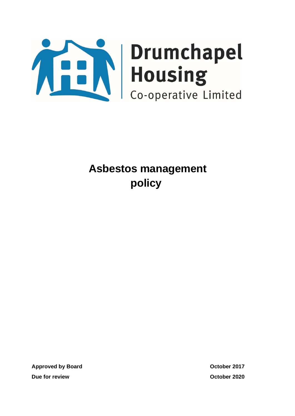

**Approved by Board COLOGIST 2017 Due for review October 2020**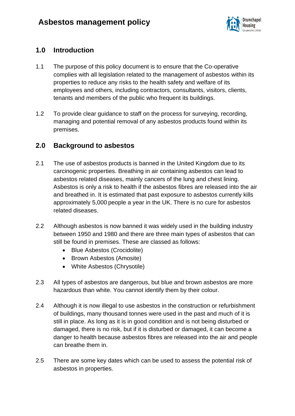

# **1.0 Introduction**

- 1.1 The purpose of this policy document is to ensure that the Co-operative complies with all legislation related to the management of asbestos within its properties to reduce any risks to the health safety and welfare of its employees and others, including contractors, consultants, visitors, clients, tenants and members of the public who frequent its buildings.
- 1.2 To provide clear guidance to staff on the process for surveying, recording, managing and potential removal of any asbestos products found within its premises.

# **2.0 Background to asbestos**

- 2.1 The use of asbestos products is banned in the United Kingdom due to its carcinogenic properties. Breathing in air containing asbestos can lead to asbestos related diseases, mainly cancers of the lung and chest lining. Asbestos is only a risk to health if the asbestos fibres are released into the air and breathed in. It is estimated that past exposure to asbestos currently kills approximately 5,000 people a year in the UK. There is no cure for asbestos related diseases.
- 2.2 Although asbestos is now banned it was widely used in the building industry between 1950 and 1980 and there are three main types of asbestos that can still be found in premises. These are classed as follows:
	- Blue Asbestos (Crocidolite)
	- Brown Asbestos (Amosite)
	- White Asbestos (Chrysotile)
- 2.3 All types of asbestos are dangerous, but blue and brown asbestos are more hazardous than white. You cannot identify them by their colour.
- 2.4 Although it is now illegal to use asbestos in the construction or refurbishment of buildings, many thousand tonnes were used in the past and much of it is still in place. As long as it is in good condition and is not being disturbed or damaged, there is no risk, but if it is disturbed or damaged, it can become a danger to health because asbestos fibres are released into the air and people can breathe them in.
- 2.5 There are some key dates which can be used to assess the potential risk of asbestos in properties.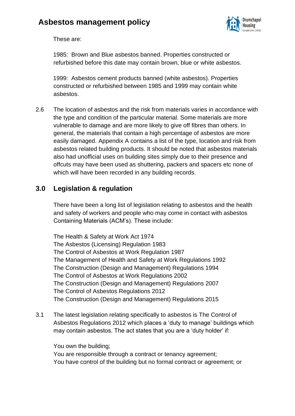

These are:

1985: Brown and Blue asbestos banned. Properties constructed or refurbished before this date may contain brown, blue or white asbestos.

1999: Asbestos cement products banned (white asbestos). Properties constructed or refurbished between 1985 and 1999 may contain white asbestos.

2.6 The location of asbestos and the risk from materials varies in accordance with the type and condition of the particular material. Some materials are more vulnerable to damage and are more likely to give off fibres than others. In general, the materials that contain a high percentage of asbestos are more easily damaged. Appendix A contains a list of the type, location and risk from asbestos related building products. It should be noted that asbestos materials also had unofficial uses on building sites simply due to their presence and offcuts may have been used as shuttering, packers and spacers etc none of which will have been recorded in any building records.

# **3.0 Legislation & regulation**

There have been a long list of legislation relating to asbestos and the health and safety of workers and people who may come in contact with asbestos Containing Materials (ACM's). These include:

The Health & Safety at Work Act 1974 The Asbestos (Licensing) Regulation 1983 The Control of Asbestos at Work Regulation 1987 The Management of Health and Safety at Work Regulations 1992 The Construction (Design and Management) Regulations 1994 The Control of Asbestos at Work Regulations 2002 The Construction (Design and Management) Regulations 2007 The Control of Asbestos Regulations 2012 The Construction (Design and Management) Regulations 2015

3.1 The latest legislation relating specifically to asbestos is The Control of Asbestos Regulations 2012 which places a 'duty to manage' buildings which may contain asbestos. The act states that you are a 'duty holder' if:

You own the building;

You are responsible through a contract or tenancy agreement; You have control of the building but no formal contract or agreement; or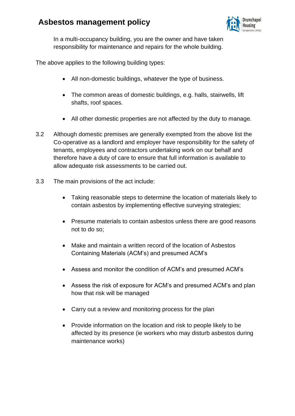

In a multi-occupancy building, you are the owner and have taken responsibility for maintenance and repairs for the whole building.

The above applies to the following building types:

- All non-domestic buildings, whatever the type of business.
- The common areas of domestic buildings, e.g. halls, stairwells, lift shafts, roof spaces.
- All other domestic properties are not affected by the duty to manage.
- 3.2 Although domestic premises are generally exempted from the above list the Co-operative as a landlord and employer have responsibility for the safety of tenants, employees and contractors undertaking work on our behalf and therefore have a duty of care to ensure that full information is available to allow adequate risk assessments to be carried out.
- 3.3 The main provisions of the act include:
	- Taking reasonable steps to determine the location of materials likely to contain asbestos by implementing effective surveying strategies;
	- Presume materials to contain asbestos unless there are good reasons not to do so;
	- Make and maintain a written record of the location of Asbestos Containing Materials (ACM's) and presumed ACM's
	- Assess and monitor the condition of ACM's and presumed ACM's
	- Assess the risk of exposure for ACM's and presumed ACM's and plan how that risk will be managed
	- Carry out a review and monitoring process for the plan
	- Provide information on the location and risk to people likely to be affected by its presence (ie workers who may disturb asbestos during maintenance works)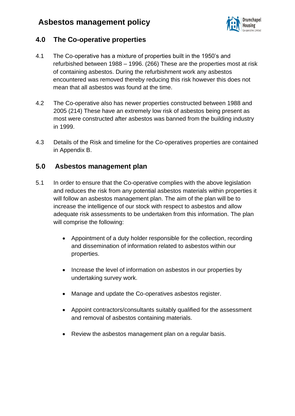

## **4.0 The Co-operative properties**

- 4.1 The Co-operative has a mixture of properties built in the 1950's and refurbished between 1988 – 1996. (266) These are the properties most at risk of containing asbestos. During the refurbishment work any asbestos encountered was removed thereby reducing this risk however this does not mean that all asbestos was found at the time.
- 4.2 The Co-operative also has newer properties constructed between 1988 and 2005 (214) These have an extremely low risk of asbestos being present as most were constructed after asbestos was banned from the building industry in 1999.
- 4.3 Details of the Risk and timeline for the Co-operatives properties are contained in Appendix B.

## **5.0 Asbestos management plan**

- 5.1 In order to ensure that the Co-operative complies with the above legislation and reduces the risk from any potential asbestos materials within properties it will follow an asbestos management plan. The aim of the plan will be to increase the intelligence of our stock with respect to asbestos and allow adequate risk assessments to be undertaken from this information. The plan will comprise the following:
	- Appointment of a duty holder responsible for the collection, recording and dissemination of information related to asbestos within our properties.
	- Increase the level of information on asbestos in our properties by undertaking survey work.
	- Manage and update the Co-operatives asbestos register.
	- Appoint contractors/consultants suitably qualified for the assessment and removal of asbestos containing materials.
	- Review the asbestos management plan on a regular basis.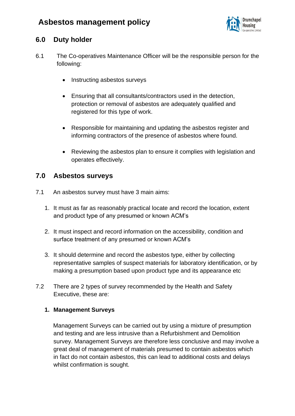

## **6.0 Duty holder**

- 6.1 The Co-operatives Maintenance Officer will be the responsible person for the following:
	- Instructing asbestos surveys
	- Ensuring that all consultants/contractors used in the detection, protection or removal of asbestos are adequately qualified and registered for this type of work.
	- Responsible for maintaining and updating the asbestos register and informing contractors of the presence of asbestos where found.
	- Reviewing the asbestos plan to ensure it complies with legislation and operates effectively.

## **7.0 Asbestos surveys**

- 7.1 An asbestos survey must have 3 main aims:
	- 1. It must as far as reasonably practical locate and record the location, extent and product type of any presumed or known ACM's
	- 2. It must inspect and record information on the accessibility, condition and surface treatment of any presumed or known ACM's
	- 3. It should determine and record the asbestos type, either by collecting representative samples of suspect materials for laboratory identification, or by making a presumption based upon product type and its appearance etc
- 7.2 There are 2 types of survey recommended by the Health and Safety Executive, these are:

#### **1. Management Surveys**

Management Surveys can be carried out by using a mixture of presumption and testing and are less intrusive than a Refurbishment and Demolition survey. Management Surveys are therefore less conclusive and may involve a great deal of management of materials presumed to contain asbestos which in fact do not contain asbestos, this can lead to additional costs and delays whilst confirmation is sought.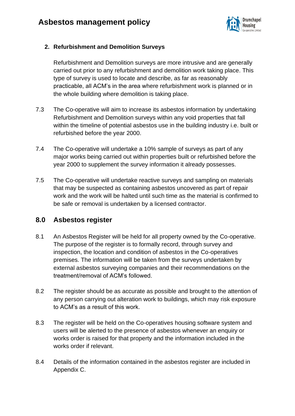

#### **2. Refurbishment and Demolition Surveys**

Refurbishment and Demolition surveys are more intrusive and are generally carried out prior to any refurbishment and demolition work taking place. This type of survey is used to locate and describe, as far as reasonably practicable, all ACM's in the area where refurbishment work is planned or in the whole building where demolition is taking place.

- 7.3 The Co-operative will aim to increase its asbestos information by undertaking Refurbishment and Demolition surveys within any void properties that fall within the timeline of potential asbestos use in the building industry i.e. built or refurbished before the year 2000.
- 7.4 The Co-operative will undertake a 10% sample of surveys as part of any major works being carried out within properties built or refurbished before the year 2000 to supplement the survey information it already possesses.
- 7.5 The Co-operative will undertake reactive surveys and sampling on materials that may be suspected as containing asbestos uncovered as part of repair work and the work will be halted until such time as the material is confirmed to be safe or removal is undertaken by a licensed contractor.

## **8.0 Asbestos register**

- 8.1 An Asbestos Register will be held for all property owned by the Co-operative. The purpose of the register is to formally record, through survey and inspection, the location and condition of asbestos in the Co-operatives premises. The information will be taken from the surveys undertaken by external asbestos surveying companies and their recommendations on the treatment/removal of ACM's followed.
- 8.2 The register should be as accurate as possible and brought to the attention of any person carrying out alteration work to buildings, which may risk exposure to ACM's as a result of this work.
- 8.3 The register will be held on the Co-operatives housing software system and users will be alerted to the presence of asbestos whenever an enquiry or works order is raised for that property and the information included in the works order if relevant.
- 8.4 Details of the information contained in the asbestos register are included in Appendix C.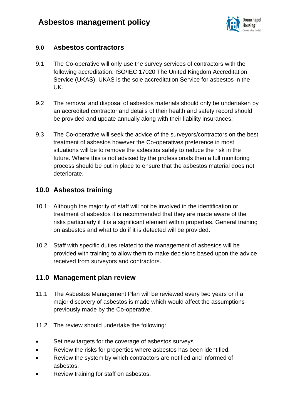

## **9.0 Asbestos contractors**

- 9.1 The Co-operative will only use the survey services of contractors with the following accreditation: ISO/IEC 17020 The United Kingdom Accreditation Service (UKAS). UKAS is the sole accreditation Service for asbestos in the UK.
- 9.2 The removal and disposal of asbestos materials should only be undertaken by an accredited contractor and details of their health and safety record should be provided and update annually along with their liability insurances.
- 9.3 The Co-operative will seek the advice of the surveyors/contractors on the best treatment of asbestos however the Co-operatives preference in most situations will be to remove the asbestos safely to reduce the risk in the future. Where this is not advised by the professionals then a full monitoring process should be put in place to ensure that the asbestos material does not deteriorate.

# **10.0 Asbestos training**

- 10.1 Although the majority of staff will not be involved in the identification or treatment of asbestos it is recommended that they are made aware of the risks particularly if it is a significant element within properties. General training on asbestos and what to do if it is detected will be provided.
- 10.2 Staff with specific duties related to the management of asbestos will be provided with training to allow them to make decisions based upon the advice received from surveyors and contractors.

## **11.0 Management plan review**

- 11.1 The Asbestos Management Plan will be reviewed every two years or if a major discovery of asbestos is made which would affect the assumptions previously made by the Co-operative.
- 11.2 The review should undertake the following:
- Set new targets for the coverage of asbestos surveys
- Review the risks for properties where asbestos has been identified.
- Review the system by which contractors are notified and informed of asbestos.
- Review training for staff on asbestos.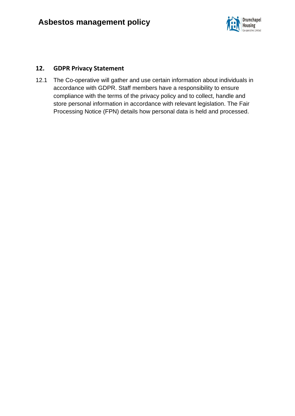

#### **12. GDPR Privacy Statement**

12.1 The Co-operative will gather and use certain information about individuals in accordance with GDPR. Staff members have a responsibility to ensure compliance with the terms of the privacy policy and to collect, handle and store personal information in accordance with relevant legislation. The Fair Processing Notice (FPN) details how personal data is held and processed.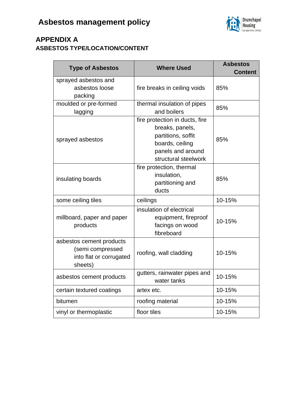

# **APPENDIX A ASBESTOS TYPE/LOCATION/CONTENT**

| <b>Type of Asbestos</b>                                                            | <b>Where Used</b>                                                                                                                       | <b>Asbestos</b><br><b>Content</b> |
|------------------------------------------------------------------------------------|-----------------------------------------------------------------------------------------------------------------------------------------|-----------------------------------|
| sprayed asbestos and<br>asbestos loose<br>packing                                  | fire breaks in ceiling voids                                                                                                            | 85%                               |
| moulded or pre-formed<br>lagging                                                   | thermal insulation of pipes<br>and boilers                                                                                              | 85%                               |
| sprayed asbestos                                                                   | fire protection in ducts, fire<br>breaks, panels,<br>partitions, soffit<br>boards, ceiling<br>panels and around<br>structural steelwork | 85%                               |
| insulating boards                                                                  | fire protection, thermal<br>insulation,<br>partitioning and<br>ducts                                                                    | 85%                               |
| some ceiling tiles                                                                 | ceilings                                                                                                                                | 10-15%                            |
| millboard, paper and paper<br>products                                             | insulation of electrical<br>equipment, fireproof<br>facings on wood<br>fibreboard                                                       | 10-15%                            |
| asbestos cement products<br>(semi compressed<br>into flat or corrugated<br>sheets) | roofing, wall cladding                                                                                                                  | 10-15%                            |
| asbestos cement products                                                           | gutters, rainwater pipes and<br>water tanks                                                                                             | 10-15%                            |
| certain textured coatings                                                          | artex etc.                                                                                                                              | 10-15%                            |
| bitumen                                                                            | roofing material                                                                                                                        | 10-15%                            |
| vinyl or thermoplastic                                                             | floor tiles                                                                                                                             | 10-15%                            |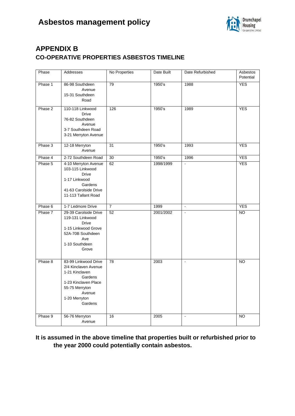

# **APPENDIX B CO-OPERATIVE PROPERTIES ASBESTOS TIMELINE**

| Phase   | Addresses                                                                                                                                                 | No Properties  | Date Built | Date Refurbished | Asbestos<br>Potential |
|---------|-----------------------------------------------------------------------------------------------------------------------------------------------------------|----------------|------------|------------------|-----------------------|
| Phase 1 | 86-98 Southdeen<br>Avenue<br>15-31 Southdeen<br>Road                                                                                                      | 79             | 1950's     | 1988             | <b>YES</b>            |
| Phase 2 | 110-118 Linkwood<br><b>Drive</b><br>76-82 Southdeen<br>Avenue<br>3-7 Southdeen Road<br>3-21 Merryton Avenue                                               | 126            | 1950's     | 1989             | <b>YES</b>            |
| Phase 3 | 12-18 Merryton<br>Avenue                                                                                                                                  | 31             | 1950's     | 1993             | <b>YES</b>            |
| Phase 4 | 2-72 Southdeen Road                                                                                                                                       | 30             | 1950's     | 1996             | <b>YES</b>            |
| Phase 5 | 4-10 Merryton Avenue<br>103-115 Linkwood<br><b>Drive</b><br>1-17 Linkwood<br>Gardens<br>41-63 Carolside Drive<br>11-113 Tallant Road                      | 62             | 1998/1999  |                  | <b>YES</b>            |
| Phase 6 | 1-7 Ledmore Drive                                                                                                                                         | $\overline{7}$ | 1999       | $\blacksquare$   | <b>YES</b>            |
| Phase 7 | 29-39 Carolside Drive<br>119-131 Linkwood<br><b>Drive</b><br>1-15 Linkwood Grove<br>52A-70B Southdeen<br>Ave<br>1-10 Southdeen<br>Grove                   | 52             | 2001/2002  | $\blacksquare$   | <b>NO</b>             |
| Phase 8 | 83-99 Linkwood Drive<br>2/4 Kinclaven Avenue<br>1-21 Kinclaven<br>Gardens<br>1-23 Kinclaven Place<br>55-75 Merryton<br>Avenue<br>1-20 Merryton<br>Gardens | 78             | 2003       | $\blacksquare$   | <b>NO</b>             |
| Phase 9 | 56-76 Merryton<br>Avenue                                                                                                                                  | 16             | 2005       | $\blacksquare$   | NO.                   |

#### **It is assumed in the above timeline that properties built or refurbished prior to the year 2000 could potentially contain asbestos.**